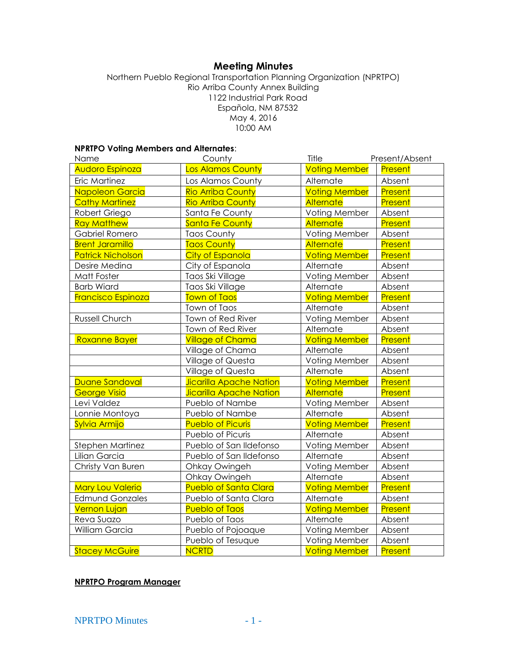# **Meeting Minutes**

Northern Pueblo Regional Transportation Planning Organization (NPRTPO) Rio Arriba County Annex Building 1122 Industrial Park Road Española, NM 87532 May 4, 2016 10:00 AM

### **NPRTPO Voting Members and Alternates**:

| Name                      | County                         | Title                | Present/Absent |
|---------------------------|--------------------------------|----------------------|----------------|
| Audoro Espinoza           | Los Alamos County              | <b>Voting Member</b> | Present        |
| Eric Martinez             | Los Alamos County              | Alternate            | Absent         |
| Napoleon Garcia           | <b>Rio Arriba County</b>       | <b>Voting Member</b> | Present        |
| <b>Cathy Martinez</b>     | <b>Rio Arriba County</b>       | <b>Alternate</b>     | Present        |
| Robert Griego             | Santa Fe County                | Voting Member        | Absent         |
| <b>Ray Matthew</b>        | <b>Santa Fe County</b>         | Alternate            | Present        |
| Gabriel Romero            | <b>Taos County</b>             | Voting Member        | Absent         |
| <b>Brent Jaramillo</b>    | <b>Taos County</b>             | Alternate            | Present        |
| <b>Patrick Nicholson</b>  | <b>City of Espanola</b>        | <b>Voting Member</b> | Present        |
| Desire Medina             | City of Espanola               | Alternate            | Absent         |
| Matt Foster               | Taos Ski Village               | Voting Member        | Absent         |
| <b>Barb Wiard</b>         | Taos Ski Village               | Alternate            | Absent         |
| <b>Francisco Espinoza</b> | <b>Town of Taos</b>            | <b>Voting Member</b> | Present        |
|                           | Town of Taos                   | Alternate            | Absent         |
| Russell Church            | Town of Red River              | Voting Member        | Absent         |
|                           | Town of Red River              | Alternate            | Absent         |
| Roxanne Bayer             | <b>Village of Chama</b>        | <b>Voting Member</b> | Present        |
|                           | Village of Chama               | Alternate            | Absent         |
|                           | Village of Questa              | Voting Member        | Absent         |
|                           | Village of Questa              | Alternate            | Absent         |
| Duane Sandoval            | <b>Jicarilla Apache Nation</b> | <b>Voting Member</b> | Present        |
| <b>George Visio</b>       | <b>Jicarilla Apache Nation</b> | <b>Alternate</b>     | Present        |
| Levi Valdez               | Pueblo of Nambe                | Voting Member        | Absent         |
| Lonnie Montoya            | Pueblo of Nambe                | Alternate            | Absent         |
| Sylvia Armijo             | <b>Pueblo of Picuris</b>       | <b>Voting Member</b> | Present        |
|                           | Pueblo of Picuris              | Alternate            | Absent         |
| <b>Stephen Martinez</b>   | Pueblo of San Ildefonso        | Voting Member        | Absent         |
| Lilian Garcia             | Pueblo of San Ildefonso        | Alternate            | Absent         |
| Christy Van Buren         | Ohkay Owingeh                  | Voting Member        | Absent         |
|                           | Ohkay Owingeh                  | Alternate            | Absent         |
| <b>Mary Lou Valerio</b>   | <b>Pueblo of Santa Clara</b>   | <b>Voting Member</b> | Present        |
| <b>Edmund Gonzales</b>    | Pueblo of Santa Clara          | Alternate            | Absent         |
| <b>Vernon Lujan</b>       | <b>Pueblo of Taos</b>          | <b>Voting Member</b> | <b>Present</b> |
| Reva Suazo                | Pueblo of Taos                 | Alternate            | Absent         |
| William Garcia            | Pueblo of Pojoaque             | Voting Member        | Absent         |
|                           | Pueblo of Tesuque              | Voting Member        | Absent         |
| <b>Stacey McGuire</b>     | <b>NCRTD</b>                   | <b>Voting Member</b> | Present        |

### **NPRTPO Program Manager**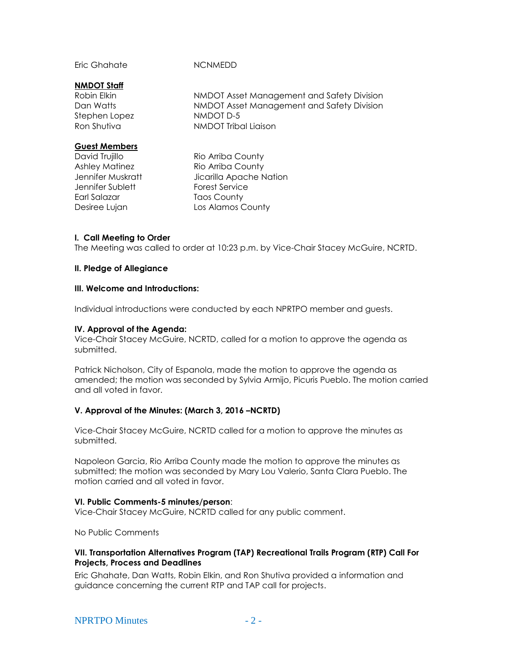Eric Ghahate NCNMEDD

#### **NMDOT Staff**

Stephen Lopez NMDOT D-5

Robin Elkin NMDOT Asset Management and Safety Division Dan Watts **NMDOT** Asset Management and Safety Division Ron Shutiva NMDOT Tribal Liaison

## **Guest Members**

Jennifer Sublett Forest Service Earl Salazar Taos County

David Trujillo **Rio Arriba County** Ashley Matinez Rio Arriba County Jennifer Muskratt Jicarilla Apache Nation Desiree Lujan Los Alamos County

### **I. Call Meeting to Order**

The Meeting was called to order at 10:23 p.m. by Vice-Chair Stacey McGuire, NCRTD.

### **II. Pledge of Allegiance**

#### **III. Welcome and Introductions:**

Individual introductions were conducted by each NPRTPO member and guests.

#### **IV. Approval of the Agenda:**

Vice-Chair Stacey McGuire, NCRTD, called for a motion to approve the agenda as submitted.

Patrick Nicholson, City of Espanola, made the motion to approve the agenda as amended; the motion was seconded by Sylvia Armijo, Picuris Pueblo. The motion carried and all voted in favor.

## **V. Approval of the Minutes: (March 3, 2016 –NCRTD)**

Vice-Chair Stacey McGuire, NCRTD called for a motion to approve the minutes as submitted.

Napoleon Garcia, Rio Arriba County made the motion to approve the minutes as submitted; the motion was seconded by Mary Lou Valerio, Santa Clara Pueblo. The motion carried and all voted in favor.

#### **VI. Public Comments-5 minutes/person**:

Vice-Chair Stacey McGuire, NCRTD called for any public comment.

No Public Comments

## **VII. Transportation Alternatives Program (TAP) Recreational Trails Program (RTP) Call For Projects, Process and Deadlines**

Eric Ghahate, Dan Watts, Robin Elkin, and Ron Shutiva provided a information and guidance concerning the current RTP and TAP call for projects.